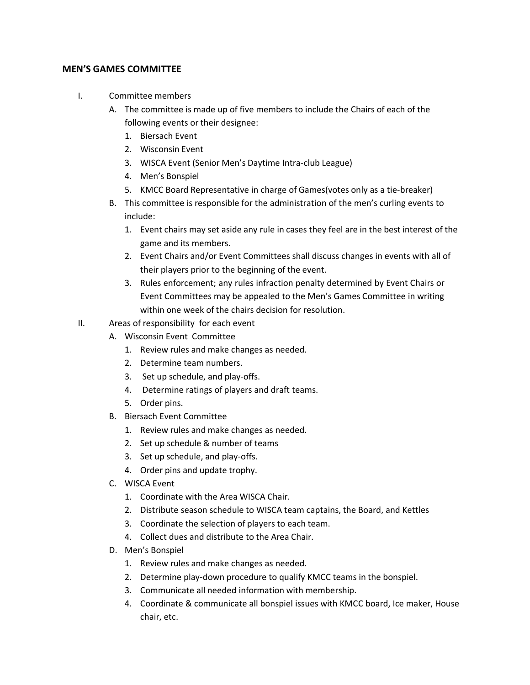## **MEN'S GAMES COMMITTEE**

- I. Committee members
	- A. The committee is made up of five members to include the Chairs of each of the following events or their designee:
		- 1. Biersach Event
		- 2. Wisconsin Event
		- 3. WISCA Event (Senior Men's Daytime Intra-club League)
		- 4. Men's Bonspiel
		- 5. KMCC Board Representative in charge of Games(votes only as a tie-breaker)
	- B. This committee is responsible for the administration of the men's curling events to include:
		- 1. Event chairs may set aside any rule in cases they feel are in the best interest of the game and its members.
		- 2. Event Chairs and/or Event Committees shall discuss changes in events with all of their players prior to the beginning of the event.
		- 3. Rules enforcement; any rules infraction penalty determined by Event Chairs or Event Committees may be appealed to the Men's Games Committee in writing within one week of the chairs decision for resolution.
- II. Areas of responsibility for each event
	- A. Wisconsin Event Committee
		- 1. Review rules and make changes as needed.
		- 2. Determine team numbers.
		- 3. Set up schedule, and play-offs.
		- 4. Determine ratings of players and draft teams.
		- 5. Order pins.
	- B. Biersach Event Committee
		- 1. Review rules and make changes as needed.
		- 2. Set up schedule & number of teams
		- 3. Set up schedule, and play-offs.
		- 4. Order pins and update trophy.
	- C. WISCA Event
		- 1. Coordinate with the Area WISCA Chair.
		- 2. Distribute season schedule to WISCA team captains, the Board, and Kettles
		- 3. Coordinate the selection of players to each team.
		- 4. Collect dues and distribute to the Area Chair.
	- D. Men's Bonspiel
		- 1. Review rules and make changes as needed.
		- 2. Determine play-down procedure to qualify KMCC teams in the bonspiel.
		- 3. Communicate all needed information with membership.
		- 4. Coordinate & communicate all bonspiel issues with KMCC board, Ice maker, House chair, etc.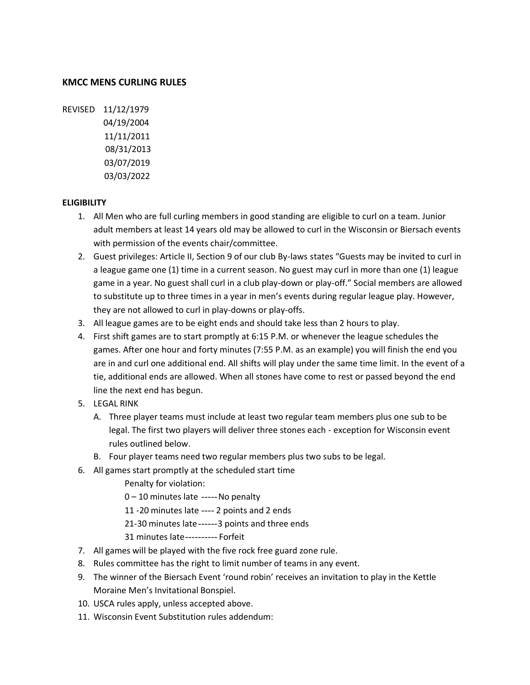## **KMCC MENS CURLING RULES**

REVISED 11/12/1979 04/19/2004 11/11/2011 08/31/2013 03/07/2019 03/03/2022

## **ELIGIBILITY**

- 1. All Men who are full curling members in good standing are eligible to curl on a team. Junior adult members at least 14 years old may be allowed to curl in the Wisconsin or Biersach events with permission of the events chair/committee.
- 2. Guest privileges: Article II, Section 9 of our club By-laws states "Guests may be invited to curl in a league game one (1) time in a current season. No guest may curl in more than one (1) league game in a year. No guest shall curl in a club play-down or play-off." Social members are allowed to substitute up to three times in a year in men's events during regular league play. However, they are not allowed to curl in play-downs or play-offs.
- 3. All league games are to be eight ends and should take less than 2 hours to play.
- 4. First shift games are to start promptly at 6:15 P.M. or whenever the league schedules the games. After one hour and forty minutes (7:55 P.M. as an example) you will finish the end you are in and curl one additional end. All shifts will play under the same time limit. In the event of a tie, additional ends are allowed. When all stones have come to rest or passed beyond the end line the next end has begun.
- 5. LEGAL RINK
	- A. Three player teams must include at least two regular team members plus one sub to be legal. The first two players will deliver three stones each - exception for Wisconsin event rules outlined below.
	- B. Four player teams need two regular members plus two subs to be legal.
- 6. All games start promptly at the scheduled start time
	- Penalty for violation:
	- 0 10 minutes late -----No penalty
	- 11 -20 minutes late ---- 2 points and 2 ends
	- 21-30 minutes late------3 points and three ends
	- 31 minutes late---------- Forfeit
- 7. All games will be played with the five rock free guard zone rule.
- 8. Rules committee has the right to limit number of teams in any event.
- 9. The winner of the Biersach Event 'round robin' receives an invitation to play in the Kettle Moraine Men's Invitational Bonspiel.
- 10. USCA rules apply, unless accepted above.
- 11. Wisconsin Event Substitution rules addendum: